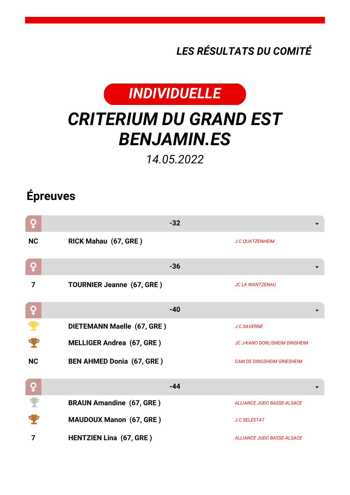*LES RÉSULTATS DU COMITÉ*



## *CRITERIUM DU GRAND EST BENJAMIN.ES*

*14.05.2022*

## **Épreuves**

| Q            | $-32$                            |                                      |
|--------------|----------------------------------|--------------------------------------|
| <b>NC</b>    | RICK Mahau (67, GRE)             | J.C.QUATZENHEIM                      |
| ò            | $-36$                            |                                      |
| 7            | <b>TOURNIER Jeanne (67, GRE)</b> | <b>JC LA WANTZENAU</b>               |
| ò            | $-40$                            |                                      |
|              | DIETEMANN Maelle (67, GRE)       | <b>J.C.SAVERNE</b>                   |
|              | <b>MELLIGER Andrea (67, GRE)</b> | <b>JC J-KANO DORLISHEIM DINSHEIM</b> |
| <b>NC</b>    | <b>BEN AHMED Donia (67, GRE)</b> | <b>CAM DE DINGSHEIM GRIESHEIM</b>    |
| $\mathbf{Q}$ | $-44$                            |                                      |
|              | <b>BRAUN Amandine (67, GRE)</b>  | <b>ALLIANCE JUDO BASSE-ALSACE</b>    |
|              | <b>MAUDOUX Manon (67, GRE)</b>   | J.C.SELESTAT                         |
| 7            | <b>HENTZIEN Lina (67, GRE)</b>   | <b>ALLIANCE JUDO BASSE-ALSACE</b>    |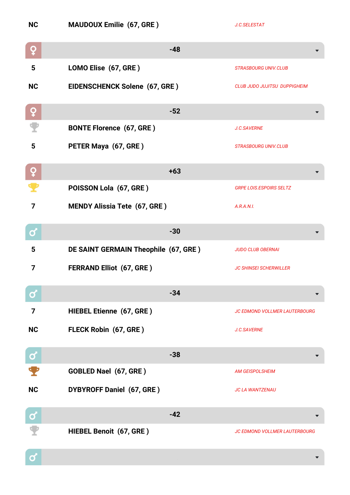| <b>NC</b>         | <b>MAUDOUX Emilie (67, GRE)</b>      | J.C.SELESTAT                         |
|-------------------|--------------------------------------|--------------------------------------|
| ò                 | $-48$                                |                                      |
| 5                 | LOMO Elise (67, GRE)                 | <b>STRASBOURG UNIV.CLUB</b>          |
| <b>NC</b>         | EIDENSCHENCK Solene (67, GRE)        | <b>CLUB JUDO JUJITSU DUPPIGHEIM</b>  |
| ò                 | $-52$                                |                                      |
|                   | <b>BONTE Florence (67, GRE)</b>      | J.C.SAVERNE                          |
| 5                 | PETER Maya (67, GRE)                 | <b>STRASBOURG UNIV.CLUB</b>          |
| ò                 | $+63$                                |                                      |
|                   | POISSON Lola (67, GRE)               | <b>GRPE LOIS.ESPOIRS SELTZ</b>       |
| $\overline{7}$    | <b>MENDY Alissia Tete (67, GRE)</b>  | A.R.A.N.I.                           |
| Ø                 | $-30$                                |                                      |
| 5                 | DE SAINT GERMAIN Theophile (67, GRE) | <b>JUDO CLUB OBERNAI</b>             |
| 7                 | <b>FERRAND Elliot (67, GRE)</b>      | <b>JC SHINSEI SCHERWILLER</b>        |
| $\bullet$         | $-34$                                |                                      |
| 7                 | HIEBEL Etienne (67, GRE)             | <b>JC EDMOND VOLLMER LAUTERBOURG</b> |
| <b>NC</b>         | FLECK Robin (67, GRE)                | <b>J.C.SAVERNE</b>                   |
| $\mathbf{\alpha}$ | $-38$                                |                                      |
|                   | GOBLED Nael (67, GRE)                | <b>AM GEISPOLSHEIM</b>               |
| <b>NC</b>         | DYBYROFF Daniel (67, GRE)            | <b>JC LA WANTZENAU</b>               |
| $\mathbf{\alpha}$ | $-42$                                |                                      |
|                   | HIEBEL Benoit (67, GRE)              | <b>JC EDMOND VOLLMER LAUTERBOURG</b> |
| Ø                 |                                      |                                      |